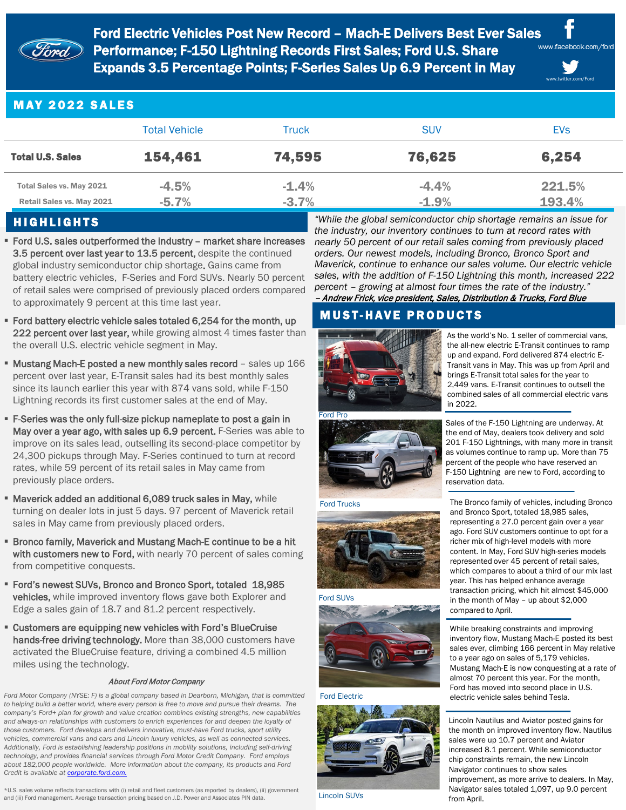

Ford Electric Vehicles Post New Record – Mach-E Delivers Best Ever Sales www.facebook.com/ford  $\widehat{\mathcal{H}}$  Performance; F-150 Lightning Records First Sales; Ford U.S. Share Expands 3.5 Percentage Points; F-Series Sales Up 6.9 Percent in May

www.twitter.com/Ford

# MAY 2022 SALES

|                                                       | <b>Total Vehicle</b> | Truck              | <b>SUV</b>         | <b>EVs</b>       |
|-------------------------------------------------------|----------------------|--------------------|--------------------|------------------|
| <b>Total U.S. Sales</b>                               | 154,461              | 74,595             | 76,625             | 6,254            |
| Total Sales vs. May 2021<br>Retail Sales vs. May 2021 | $-4.5%$<br>$-5.7%$   | $-1.4%$<br>$-3.7%$ | $-4.4%$<br>$-1.9%$ | 221.5%<br>193.4% |

### HIGHLIGHTS

- Ford U.S. sales outperformed the industry market share increases 3.5 percent over last year to 13.5 percent, despite the continued global industry semiconductor chip shortage. Gains came from battery electric vehicles, F-Series and Ford SUVs. Nearly 50 percent of retail sales were comprised of previously placed orders compared to approximately 9 percent at this time last year.
- **Ford battery electric vehicle sales totaled 6,254 for the month, up** 222 percent over last year, while growing almost 4 times faster than the overall U.S. electric vehicle segment in May.
- **Mustang Mach-E posted a new monthly sales record** sales up 166 percent over last year, E-Transit sales had its best monthly sales since its launch earlier this year with 874 vans sold, while F-150 Lightning records its first customer sales at the end of May.
- F-Series was the only full-size pickup nameplate to post a gain in May over a year ago, with sales up 6.9 percent. F-Series was able to improve on its sales lead, outselling its second-place competitor by 24,300 pickups through May. F-Series continued to turn at record rates, while 59 percent of its retail sales in May came from previously place orders.
- **Maverick added an additional 6,089 truck sales in May, while** turning on dealer lots in just 5 days. 97 percent of Maverick retail sales in May came from previously placed orders.
- **Bronco family, Maverick and Mustang Mach-E continue to be a hit** with customers new to Ford, with nearly 70 percent of sales coming from competitive conquests.
- Ford's newest SUVs, Bronco and Bronco Sport, totaled 18,985 vehicles, while improved inventory flows gave both Explorer and Edge a sales gain of 18.7 and 81.2 percent respectively.
- Customers are equipping new vehicles with Ford's BlueCruise hands-free driving technology. More than 38,000 customers have activated the BlueCruise feature, driving a combined 4.5 million miles using the technology.

### About Ford Motor Company

*Ford Motor Company (NYSE: F) is a global company based in Dearborn, Michigan, that is committed to helping build a better world, where every person is free to move and pursue their dreams. The company's Ford+ plan for growth and value creation combines existing strengths, new capabilities and always-on relationships with customers to enrich experiences for and deepen the loyalty of those customers. Ford develops and delivers innovative, must-have Ford trucks, sport utility vehicles, commercial vans and cars and Lincoln luxury vehicles, as well as connected services. Additionally, Ford is establishing leadership positions in mobility solutions, including self-driving technology, and provides financial services through Ford Motor Credit Company. Ford employs about 182,000 people worldwide. More information about the company, its products and Ford Credit is available at corporate.ford.com.* 

\*U.S. sales volume reflects transactions with (i) retail and fleet customers (as reported by dealers), (ii) government and (iii) Ford management. Average transaction pricing based on J.D. Power and Associates PIN data.

*"While the global semiconductor chip shortage remains an issue for the industry, our inventory continues to turn at record rates with nearly 50 percent of our retail sales coming from previously placed orders. Our newest models, including Bronco, Bronco Sport and Maverick, continue to enhance our sales volume. Our electric vehicle sales, with the addition of F-150 Lightning this month, increased 222 percent – growing at almost four times the rate of the industry."* – Andrew Frick, vice president, Sales, Distribution & Trucks, Ford Blue

# **MUST-HAVE PRODUCTS**



As the world's No. 1 seller of commercial vans, the all-new electric E-Transit continues to ramp up and expand. Ford delivered 874 electric E-Transit vans in May. This was up from April and brings E-Transit total sales for the year to



### Ford Trucks



### Ford SUVs



#### Ford Electric



Lincoln SUVs

Sales of the F-150 Lightning are underway. At the end of May, dealers took delivery and sold 201 F-150 Lightnings, with many more in transit as volumes continue to ramp up. More than 75 2,449 vans. E-Transit continues to outsell the combined sales of all commercial electric vans in 2022.

percent of the people who have reserved an F-150 Lightning are new to Ford, according to reservation data.

The Bronco family of vehicles, including Bronco and Bronco Sport, totaled 18,985 sales, representing a 27.0 percent gain over a year ago. Ford SUV customers continue to opt for a richer mix of high-level models with more content. In May, Ford SUV high-series models represented over 45 percent of retail sales, which compares to about a third of our mix last year. This has helped enhance average transaction pricing, which hit almost \$45,000 in the month of May – up about \$2,000 compared to April.

While breaking constraints and improving inventory flow, Mustang Mach-E posted its best sales ever, climbing 166 percent in May relative to a year ago on sales of 5,179 vehicles. Mustang Mach-E is now conquesting at a rate of almost 70 percent this year. For the month, Ford has moved into second place in U.S. electric vehicle sales behind Tesla.

Lincoln Nautilus and Aviator posted gains for the month on improved inventory flow. Nautilus sales were up 10.7 percent and Aviator increased 8.1 percent. While semiconductor chip constraints remain, the new Lincoln Navigator continues to show sales improvement, as more arrive to dealers. In May, Navigator sales totaled 1,097, up 9.0 percent from April.